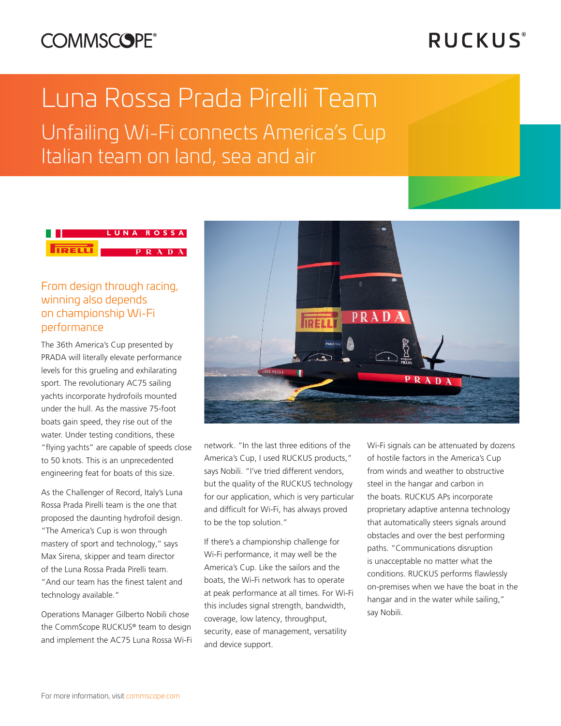## **COMMSCOPE®**

# **RUCKUS**®

# Luna Rossa Prada Pirelli Team Unfailing Wi-Fi connects America's Cup Italian team on land, sea and air

#### LUNA ROSSA **TRELL** PRADA

### From design through racing, winning also depends on championship Wi-Fi performance

The 36th America's Cup presented by PRADA will literally elevate performance levels for this grueling and exhilarating sport. The revolutionary AC75 sailing yachts incorporate hydrofoils mounted under the hull. As the massive 75-foot boats gain speed, they rise out of the water. Under testing conditions, these "flying yachts" are capable of speeds close to 50 knots. This is an unprecedented engineering feat for boats of this size.

As the Challenger of Record, Italy's Luna Rossa Prada Pirelli team is the one that proposed the daunting hydrofoil design. "The America's Cup is won through mastery of sport and technology,'' says Max Sirena, skipper and team director of the Luna Rossa Prada Pirelli team. "And our team has the finest talent and technology available."

Operations Manager Gilberto Nobili chose the CommScope RUCKUS® team to design and implement the AC75 Luna Rossa Wi-Fi



network. "In the last three editions of the America's Cup, I used RUCKUS products," says Nobili. "I've tried different vendors, but the quality of the RUCKUS technology for our application, which is very particular and difficult for Wi-Fi, has always proved to be the top solution."

If there's a championship challenge for Wi-Fi performance, it may well be the America's Cup. Like the sailors and the boats, the Wi-Fi network has to operate at peak performance at all times. For Wi-Fi this includes signal strength, bandwidth, coverage, low latency, throughput, security, ease of management, versatility and device support.

Wi-Fi signals can be attenuated by dozens of hostile factors in the America's Cup from winds and weather to obstructive steel in the hangar and carbon in the boats. RUCKUS APs incorporate proprietary adaptive antenna technology that automatically steers signals around obstacles and over the best performing paths. "Communications disruption is unacceptable no matter what the conditions. RUCKUS performs flawlessly on-premises when we have the boat in the hangar and in the water while sailing," say Nobili.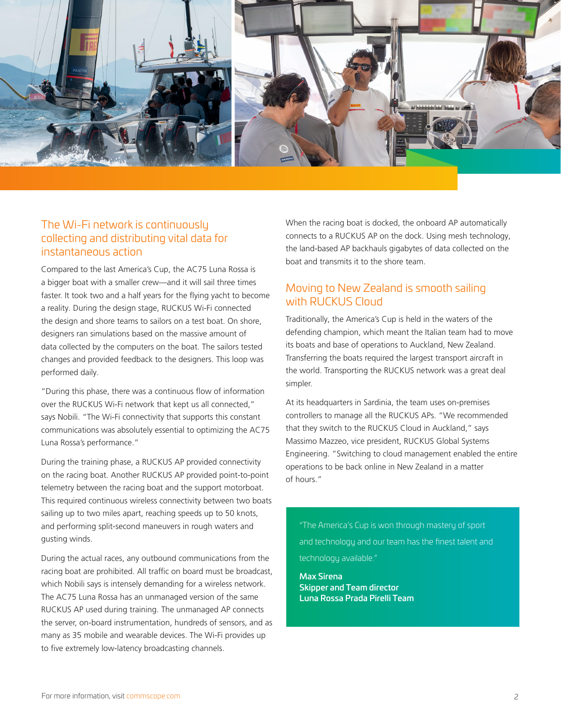

#### The Wi-Fi network is continuously collecting and distributing vital data for instantaneous action

Compared to the last America's Cup, the AC75 Luna Rossa is a bigger boat with a smaller crew—and it will sail three times faster. It took two and a half years for the flying yacht to become a reality. During the design stage, RUCKUS Wi-Fi connected the design and shore teams to sailors on a test boat. On shore, designers ran simulations based on the massive amount of data collected by the computers on the boat. The sailors tested changes and provided feedback to the designers. This loop was performed daily.

"During this phase, there was a continuous flow of information over the RUCKUS Wi-Fi network that kept us all connected," says Nobili. "The Wi-Fi connectivity that supports this constant communications was absolutely essential to optimizing the AC75 Luna Rossa's performance."

During the training phase, a RUCKUS AP provided connectivity on the racing boat. Another RUCKUS AP provided point-to-point telemetry between the racing boat and the support motorboat. This required continuous wireless connectivity between two boats sailing up to two miles apart, reaching speeds up to 50 knots, and performing split-second maneuvers in rough waters and gusting winds.

During the actual races, any outbound communications from the racing boat are prohibited. All traffic on board must be broadcast, which Nobili says is intensely demanding for a wireless network. The AC75 Luna Rossa has an unmanaged version of the same RUCKUS AP used during training. The unmanaged AP connects the server, on-board instrumentation, hundreds of sensors, and as many as 35 mobile and wearable devices. The Wi-Fi provides up to five extremely low-latency broadcasting channels.

When the racing boat is docked, the onboard AP automatically connects to a RUCKUS AP on the dock. Using mesh technology, the land-based AP backhauls gigabytes of data collected on the boat and transmits it to the shore team.

#### Moving to New Zealand is smooth sailing with RUCKUS Cloud

Traditionally, the America's Cup is held in the waters of the defending champion, which meant the Italian team had to move its boats and base of operations to Auckland, New Zealand. Transferring the boats required the largest transport aircraft in the world. Transporting the RUCKUS network was a great deal simpler.

At its headquarters in Sardinia, the team uses on-premises controllers to manage all the RUCKUS APs. "We recommended that they switch to the RUCKUS Cloud in Auckland," says Massimo Mazzeo, vice president, RUCKUS Global Systems Engineering. "Switching to cloud management enabled the entire operations to be back online in New Zealand in a matter of hours."

"The America's Cup is won through mastery of sport and technology and our team has the finest talent and technology available."

Max Sirena Skipper and Team director Luna Rossa Prada Pirelli Team